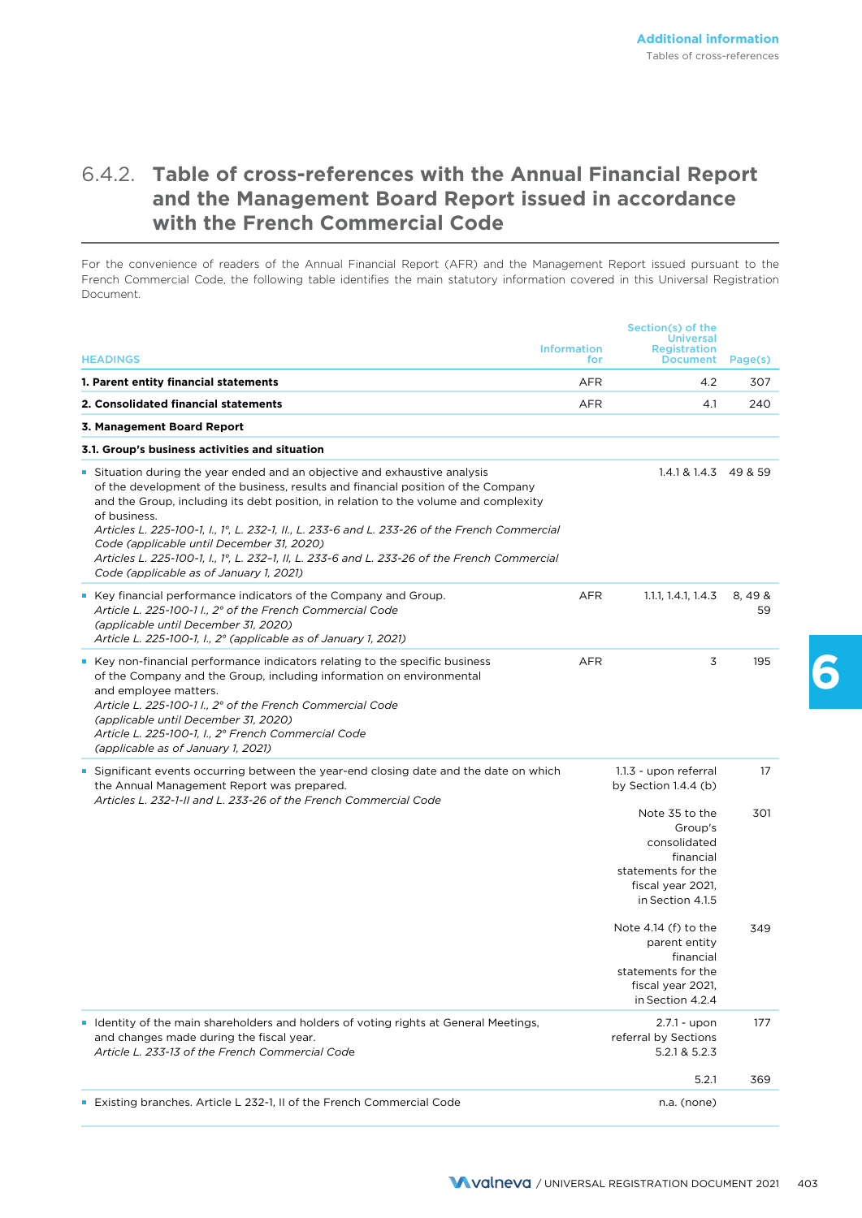## 6.4.2. **Table of cross-references with the Annual Financial Report and the Management Board Report issued in accordance with the French Commercial Code**

For the convenience of readers of the Annual Financial Report (AFR) and the Management Report issued pursuant to the French Commercial Code, the following table identifies the main statutory information covered in this Universal Registration Document.

|                                                                                                                                                                                                                                                                                                                                                                                                                                                                                                                                                                |                           | Section(s) of the                                                                                                     |             |
|----------------------------------------------------------------------------------------------------------------------------------------------------------------------------------------------------------------------------------------------------------------------------------------------------------------------------------------------------------------------------------------------------------------------------------------------------------------------------------------------------------------------------------------------------------------|---------------------------|-----------------------------------------------------------------------------------------------------------------------|-------------|
| <b>HEADINGS</b>                                                                                                                                                                                                                                                                                                                                                                                                                                                                                                                                                | <b>Information</b><br>for | <b>Universal</b><br><b>Registration</b><br><b>Document</b>                                                            | Page(s)     |
| 1. Parent entity financial statements                                                                                                                                                                                                                                                                                                                                                                                                                                                                                                                          | <b>AFR</b>                | 4.2                                                                                                                   | 307         |
| 2. Consolidated financial statements                                                                                                                                                                                                                                                                                                                                                                                                                                                                                                                           | <b>AFR</b>                | 4.1                                                                                                                   | 240         |
| 3. Management Board Report                                                                                                                                                                                                                                                                                                                                                                                                                                                                                                                                     |                           |                                                                                                                       |             |
| 3.1. Group's business activities and situation                                                                                                                                                                                                                                                                                                                                                                                                                                                                                                                 |                           |                                                                                                                       |             |
| Situation during the year ended and an objective and exhaustive analysis<br>of the development of the business, results and financial position of the Company<br>and the Group, including its debt position, in relation to the volume and complexity<br>of business.<br>Articles L. 225-100-1, I., 1°, L. 232-1, II., L. 233-6 and L. 233-26 of the French Commercial<br>Code (applicable until December 31, 2020)<br>Articles L. 225-100-1, I., 1°, L. 232-1, II, L. 233-6 and L. 233-26 of the French Commercial<br>Code (applicable as of January 1, 2021) |                           | $1.4.1 & 1.4.3$ 49 & 59                                                                                               |             |
| • Key financial performance indicators of the Company and Group.<br>Article L. 225-100-1 l., 2° of the French Commercial Code<br>(applicable until December 31, 2020)<br>Article L. 225-100-1, I., 2° (applicable as of January 1, 2021)                                                                                                                                                                                                                                                                                                                       | <b>AFR</b>                | 1.1.1, 1.4.1, 1.4.3                                                                                                   | 8,498<br>59 |
| • Key non-financial performance indicators relating to the specific business<br>of the Company and the Group, including information on environmental<br>and employee matters.<br>Article L. 225-100-1 I., 2° of the French Commercial Code<br>(applicable until December 31, 2020)<br>Article L. 225-100-1, I., 2º French Commercial Code<br>(applicable as of January 1, 2021)                                                                                                                                                                                | <b>AFR</b>                | 3                                                                                                                     | 195         |
| Significant events occurring between the year-end closing date and the date on which<br>the Annual Management Report was prepared.<br>Articles L. 232-1-II and L. 233-26 of the French Commercial Code                                                                                                                                                                                                                                                                                                                                                         |                           | 1.1.3 - upon referral<br>by Section 1.4.4 (b)                                                                         | 17          |
|                                                                                                                                                                                                                                                                                                                                                                                                                                                                                                                                                                |                           | Note 35 to the<br>Group's<br>consolidated<br>financial<br>statements for the<br>fiscal year 2021,<br>in Section 4.1.5 | 301         |
|                                                                                                                                                                                                                                                                                                                                                                                                                                                                                                                                                                |                           | Note $4.14$ (f) to the<br>parent entity<br>financial<br>statements for the<br>fiscal year 2021,<br>in Section 4.2.4   | 349         |
| Identity of the main shareholders and holders of voting rights at General Meetings,<br>and changes made during the fiscal year.<br>Article L. 233-13 of the French Commercial Code                                                                                                                                                                                                                                                                                                                                                                             |                           | $2.7.1 - upon$<br>referral by Sections<br>5.2.1 & 5.2.3                                                               | 177         |
|                                                                                                                                                                                                                                                                                                                                                                                                                                                                                                                                                                |                           | 5.2.1                                                                                                                 | 369         |
| <b>Existing branches. Article L 232-1, II of the French Commercial Code</b>                                                                                                                                                                                                                                                                                                                                                                                                                                                                                    |                           | n.a. (none)                                                                                                           |             |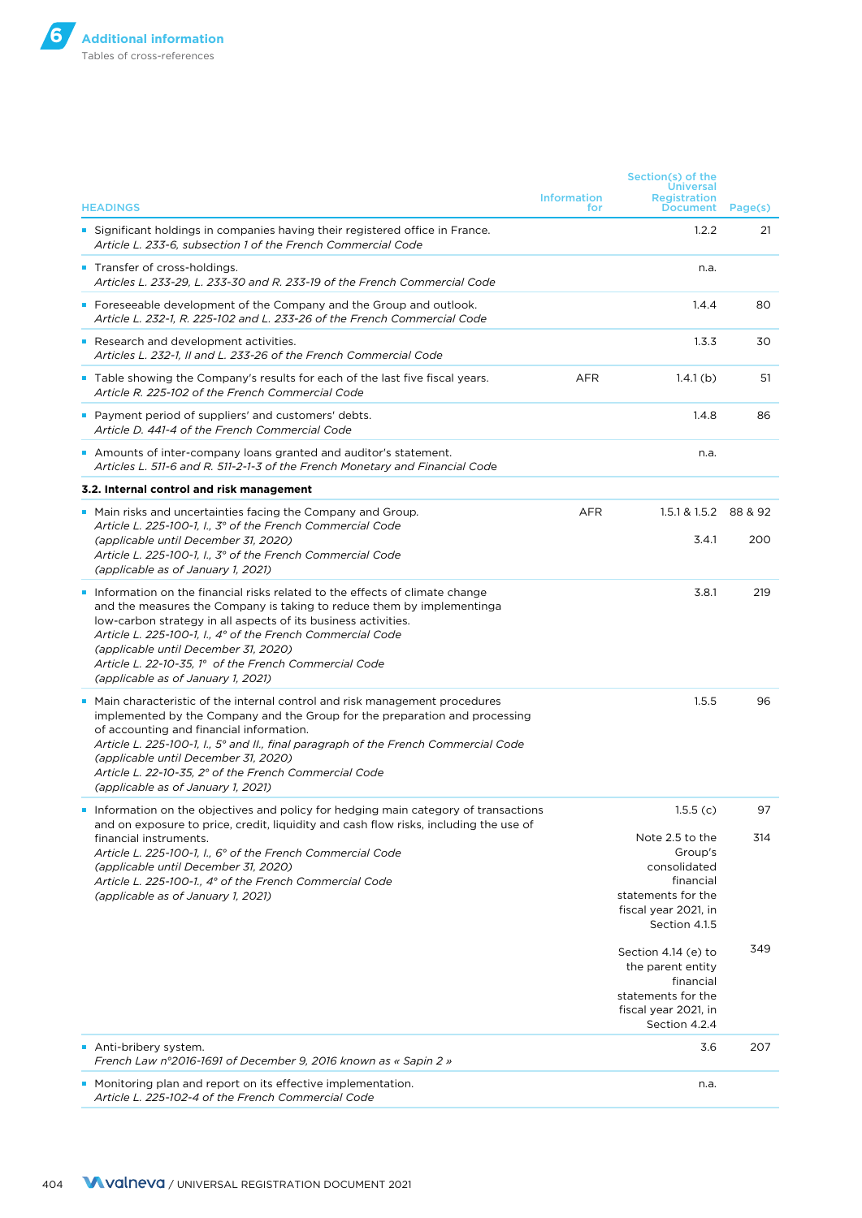| <b>HEADINGS</b>                                                                                                                                                                                                                                                                                                                                                                                                                     | <b>Information</b><br>for | Section(s) of the<br>Universal<br><b>Registration</b><br><b>Document</b>                                               | Page(s) |
|-------------------------------------------------------------------------------------------------------------------------------------------------------------------------------------------------------------------------------------------------------------------------------------------------------------------------------------------------------------------------------------------------------------------------------------|---------------------------|------------------------------------------------------------------------------------------------------------------------|---------|
| <b>Significant holdings in companies having their registered office in France.</b><br>Article L. 233-6. subsection 1 of the French Commercial Code                                                                                                                                                                                                                                                                                  |                           | 1.2.2                                                                                                                  | 21      |
| <b>Transfer of cross-holdings.</b><br>Articles L. 233-29, L. 233-30 and R. 233-19 of the French Commercial Code                                                                                                                                                                                                                                                                                                                     |                           | n.a.                                                                                                                   |         |
| • Foreseeable development of the Company and the Group and outlook.<br>Article L. 232-1, R. 225-102 and L. 233-26 of the French Commercial Code                                                                                                                                                                                                                                                                                     |                           | 1.4.4                                                                                                                  | 80      |
| Research and development activities.<br>Articles L. 232-1, II and L. 233-26 of the French Commercial Code                                                                                                                                                                                                                                                                                                                           |                           | 1.3.3                                                                                                                  | 30      |
| Table showing the Company's results for each of the last five fiscal years.<br>Article R. 225-102 of the French Commercial Code                                                                                                                                                                                                                                                                                                     | <b>AFR</b>                | 1.4.1(b)                                                                                                               | 51      |
| • Payment period of suppliers' and customers' debts.<br>Article D. 441-4 of the French Commercial Code                                                                                                                                                                                                                                                                                                                              |                           | 1.4.8                                                                                                                  | 86      |
| Amounts of inter-company loans granted and auditor's statement.<br>Articles L. 511-6 and R. 511-2-1-3 of the French Monetary and Financial Code                                                                                                                                                                                                                                                                                     |                           | n.a.                                                                                                                   |         |
| 3.2. Internal control and risk management                                                                                                                                                                                                                                                                                                                                                                                           |                           |                                                                                                                        |         |
| • Main risks and uncertainties facing the Company and Group.<br>Article L. 225-100-1, I., 3° of the French Commercial Code                                                                                                                                                                                                                                                                                                          | <b>AFR</b>                | 1.5.1 & 1.5.2 88 & 92                                                                                                  |         |
| (applicable until December 31, 2020)<br>Article L. 225-100-1, I., 3° of the French Commercial Code<br>(applicable as of January 1, 2021)                                                                                                                                                                                                                                                                                            |                           | 3.4.1                                                                                                                  | 200     |
| Information on the financial risks related to the effects of climate change<br>and the measures the Company is taking to reduce them by implementinga<br>low-carbon strategy in all aspects of its business activities.<br>Article L. 225-100-1, I., 4° of the French Commercial Code<br>(applicable until December 31, 2020)<br>Article L. 22-10-35, 1° of the French Commercial Code<br>(applicable as of January 1, 2021)        |                           | 3.8.1                                                                                                                  | 219     |
| Main characteristic of the internal control and risk management procedures<br>implemented by the Company and the Group for the preparation and processing<br>of accounting and financial information.<br>Article L. 225-100-1, I., 5° and II., final paragraph of the French Commercial Code<br>(applicable until December 31, 2020)<br>Article L. 22-10-35, 2° of the French Commercial Code<br>(applicable as of January 1, 2021) |                           | 1.5.5                                                                                                                  | 96      |
| Information on the objectives and policy for hedging main category of transactions<br>and on exposure to price, credit, liquidity and cash flow risks, including the use of                                                                                                                                                                                                                                                         |                           | 1.5.5(c)                                                                                                               | 97      |
| financial instruments.<br>Article L. 225-100-1, I., 6° of the French Commercial Code<br>(applicable until December 31, 2020)<br>Article L. 225-100-1., 4° of the French Commercial Code<br>(applicable as of January 1, 2021)                                                                                                                                                                                                       |                           | Note 2.5 to the<br>Group's<br>consolidated<br>financial<br>statements for the<br>fiscal year 2021, in<br>Section 4.1.5 | 314     |
|                                                                                                                                                                                                                                                                                                                                                                                                                                     |                           | Section 4.14 (e) to<br>the parent entity<br>financial<br>statements for the<br>fiscal year 2021, in<br>Section 4.2.4   | 349     |
| Anti-bribery system.<br>French Law n°2016-1691 of December 9, 2016 known as « Sapin 2 »                                                                                                                                                                                                                                                                                                                                             |                           | 3.6                                                                                                                    | 207     |
| • Monitoring plan and report on its effective implementation.<br>Article L. 225-102-4 of the French Commercial Code                                                                                                                                                                                                                                                                                                                 |                           | n.a.                                                                                                                   |         |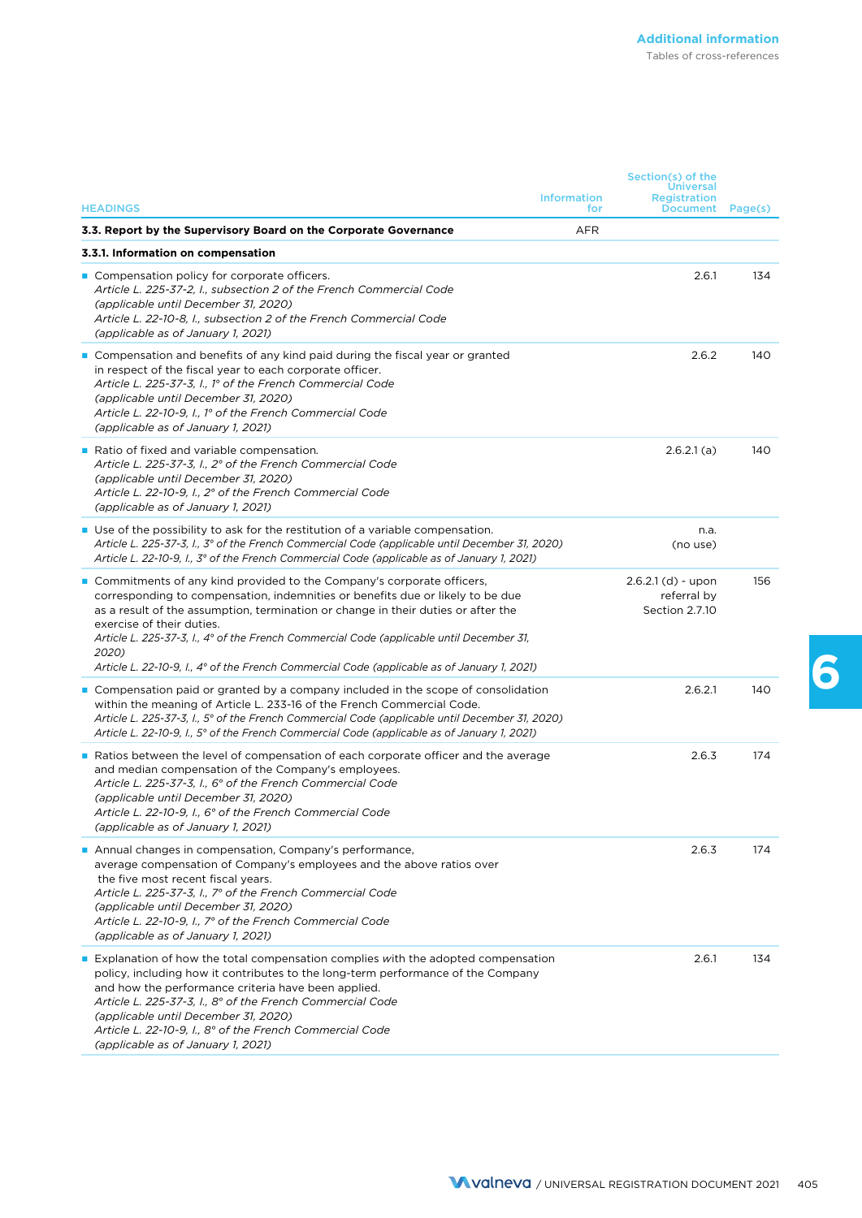| <b>HEADINGS</b>                                                                                                                                                                                                                                                                                                                                                                                                                                                                          | <b>Information</b><br>for | Section(s) of the<br><b>Universal</b><br><b>Registration</b><br>Document | Page(s) |
|------------------------------------------------------------------------------------------------------------------------------------------------------------------------------------------------------------------------------------------------------------------------------------------------------------------------------------------------------------------------------------------------------------------------------------------------------------------------------------------|---------------------------|--------------------------------------------------------------------------|---------|
| 3.3. Report by the Supervisory Board on the Corporate Governance                                                                                                                                                                                                                                                                                                                                                                                                                         | <b>AFR</b>                |                                                                          |         |
| 3.3.1. Information on compensation                                                                                                                                                                                                                                                                                                                                                                                                                                                       |                           |                                                                          |         |
| ■ Compensation policy for corporate officers.<br>Article L. 225-37-2, I., subsection 2 of the French Commercial Code<br>(applicable until December 31, 2020)<br>Article L. 22-10-8, I., subsection 2 of the French Commercial Code<br>(applicable as of January 1, 2021)                                                                                                                                                                                                                 |                           | 2.6.1                                                                    | 134     |
| Compensation and benefits of any kind paid during the fiscal year or granted<br>in respect of the fiscal year to each corporate officer.<br>Article L. 225-37-3, I., 1º of the French Commercial Code<br>(applicable until December 31, 2020)<br>Article L. 22-10-9, I., 1º of the French Commercial Code<br>(applicable as of January 1, 2021)                                                                                                                                          |                           | 2.6.2                                                                    | 140     |
| Ratio of fixed and variable compensation.<br>Article L. 225-37-3, I., 2° of the French Commercial Code<br>(applicable until December 31, 2020)<br>Article L. 22-10-9, I., 2° of the French Commercial Code<br>(applicable as of January 1, 2021)                                                                                                                                                                                                                                         |                           | 2.6.2.1(a)                                                               | 140     |
| ■ Use of the possibility to ask for the restitution of a variable compensation.<br>Article L. 225-37-3, I., 3° of the French Commercial Code (applicable until December 31, 2020)<br>Article L. 22-10-9, I., 3° of the French Commercial Code (applicable as of January 1, 2021)                                                                                                                                                                                                         |                           | n.a.<br>(no use)                                                         |         |
| ■ Commitments of any kind provided to the Company's corporate officers,<br>corresponding to compensation, indemnities or benefits due or likely to be due<br>as a result of the assumption, termination or change in their duties or after the<br>exercise of their duties.<br>Article L. 225-37-3, I., 4° of the French Commercial Code (applicable until December 31,<br>2020)<br>Article L. 22-10-9, I., $4^{\circ}$ of the French Commercial Code (applicable as of January 1, 2021) |                           | $2.6.2.1$ (d) - upon<br>referral by<br>Section 2.7.10                    | 156     |
| ■ Compensation paid or granted by a company included in the scope of consolidation<br>within the meaning of Article L. 233-16 of the French Commercial Code.<br>Article L. 225-37-3, I., 5° of the French Commercial Code (applicable until December 31, 2020)<br>Article L. 22-10-9, I., 5° of the French Commercial Code (applicable as of January 1, 2021)                                                                                                                            |                           | 2.6.2.1                                                                  | 140     |
| <b>Ratios between the level of compensation of each corporate officer and the average</b><br>and median compensation of the Company's employees.<br>Article L. 225-37-3, I., 6° of the French Commercial Code<br>(applicable until December 31, 2020)<br>Article L. 22-10-9, I., 6° of the French Commercial Code<br>(applicable as of January 1, 2021)                                                                                                                                  |                           | 2.6.3                                                                    | 174     |
| Annual changes in compensation, Company's performance,<br>average compensation of Company's employees and the above ratios over<br>the five most recent fiscal years.<br>Article L. 225-37-3, I., 7° of the French Commercial Code<br>(applicable until December 31, 2020)<br>Article L. 22-10-9, I., 7° of the French Commercial Code<br>(applicable as of January 1, 2021)                                                                                                             |                           | 2.6.3                                                                    | 174     |
| <b>Explanation of how the total compensation complies with the adopted compensation</b><br>policy, including how it contributes to the long-term performance of the Company<br>and how the performance criteria have been applied.<br>Article L. 225-37-3, I., 8° of the French Commercial Code<br>(applicable until December 31, 2020)<br>Article L. 22-10-9, I., 8° of the French Commercial Code<br>(applicable as of January 1, 2021)                                                |                           | 2.6.1                                                                    | 134     |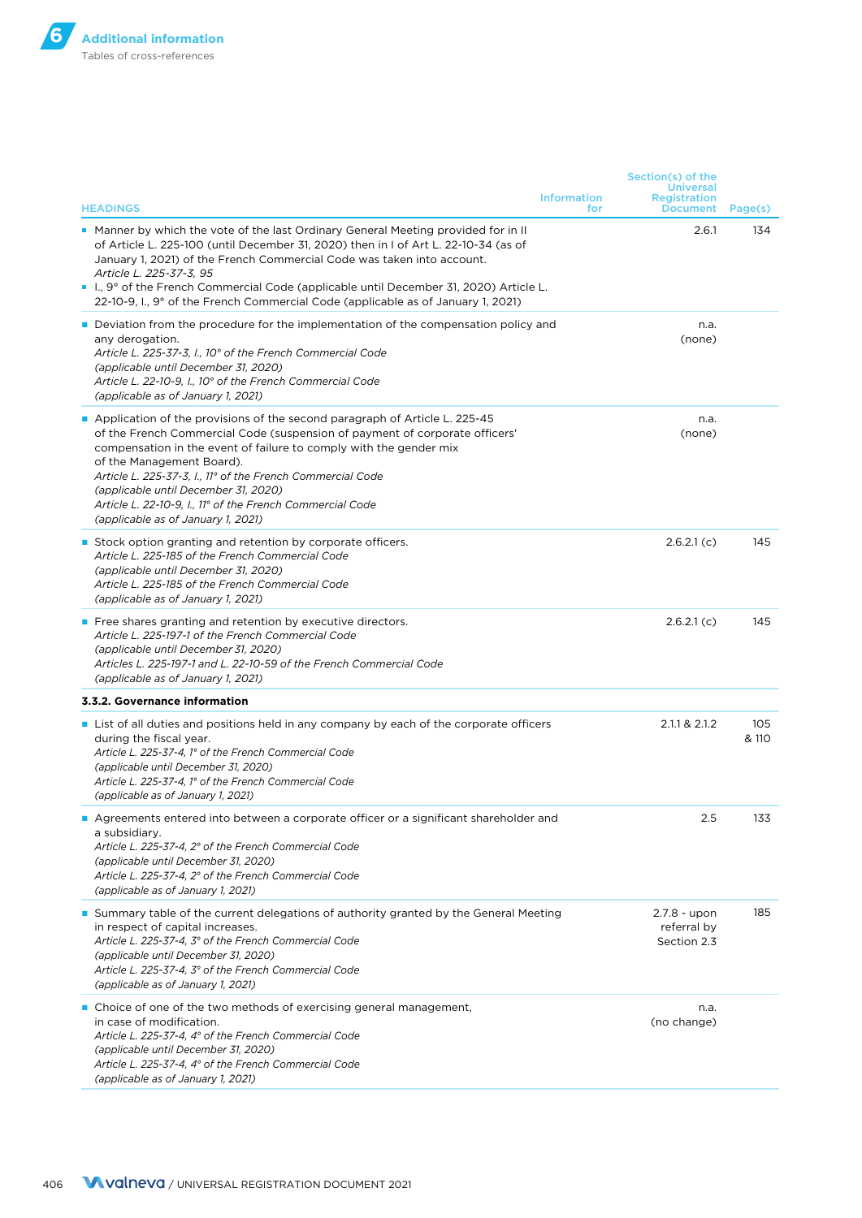| <b>HEADINGS</b>                                                                                                                                                                                                                                                                                                                                                                                                                                                       | <b>Information</b><br>for | Section(s) of the<br><b>Universal</b><br>Registration<br><b>Document</b> | Page(s)      |
|-----------------------------------------------------------------------------------------------------------------------------------------------------------------------------------------------------------------------------------------------------------------------------------------------------------------------------------------------------------------------------------------------------------------------------------------------------------------------|---------------------------|--------------------------------------------------------------------------|--------------|
| ■ Manner by which the vote of the last Ordinary General Meeting provided for in II<br>of Article L. 225-100 (until December 31, 2020) then in I of Art L. 22-10-34 (as of<br>January 1, 2021) of the French Commercial Code was taken into account.<br>Article L. 225-37-3, 95<br>■ 1., 9° of the French Commercial Code (applicable until December 31, 2020) Article L.<br>22-10-9, I., $9^{\circ}$ of the French Commercial Code (applicable as of January 1, 2021) |                           | 2.6.1                                                                    | 134          |
| Deviation from the procedure for the implementation of the compensation policy and<br>any derogation.<br>Article L. 225-37-3, I., 10° of the French Commercial Code<br>(applicable until December 31, 2020)<br>Article L. 22-10-9, I., 10° of the French Commercial Code<br>(applicable as of January 1, 2021)                                                                                                                                                        |                           | n.a.<br>(none)                                                           |              |
| Application of the provisions of the second paragraph of Article L. 225-45<br>of the French Commercial Code (suspension of payment of corporate officers'<br>compensation in the event of failure to comply with the gender mix<br>of the Management Board).<br>Article L. 225-37-3, I., 11° of the French Commercial Code<br>(applicable until December 31, 2020)<br>Article L. 22-10-9, I., 11° of the French Commercial Code<br>(applicable as of January 1, 2021) |                           | n.a.<br>(none)                                                           |              |
| ■ Stock option granting and retention by corporate officers.<br>Article L. 225-185 of the French Commercial Code<br>(applicable until December 31, 2020)<br>Article L. 225-185 of the French Commercial Code<br>(applicable as of January 1, 2021)                                                                                                                                                                                                                    |                           | 2.6.2.1(c)                                                               | 145          |
| ■ Free shares granting and retention by executive directors.<br>Article L. 225-197-1 of the French Commercial Code<br>(applicable until December 31, 2020)<br>Articles L. 225-197-1 and L. 22-10-59 of the French Commercial Code<br>(applicable as of January 1, 2021)                                                                                                                                                                                               |                           | 2.6.2.1(c)                                                               | 145          |
| 3.3.2. Governance information                                                                                                                                                                                                                                                                                                                                                                                                                                         |                           |                                                                          |              |
| List of all duties and positions held in any company by each of the corporate officers<br>during the fiscal year.<br>Article L. 225-37-4, 1° of the French Commercial Code<br>(applicable until December 31, 2020)<br>Article L. 225-37-4, 1° of the French Commercial Code<br>(applicable as of January 1, 2021)                                                                                                                                                     |                           | 2.1.1 & 2.1.2                                                            | 105<br>& 110 |
| Agreements entered into between a corporate officer or a significant shareholder and<br>a subsidiary.<br>Article L. 225-37-4, 2° of the French Commercial Code<br>(applicable until December 31, 2020)<br>Article L. 225-37-4, 2° of the French Commercial Code<br>(applicable as of January 1, 2021)                                                                                                                                                                 |                           | 2.5                                                                      | 133          |
| Summary table of the current delegations of authority granted by the General Meeting<br>in respect of capital increases.<br>Article L. 225-37-4, 3° of the French Commercial Code<br>(applicable until December 31, 2020)<br>Article L. 225-37-4, 3° of the French Commercial Code<br>(applicable as of January 1, 2021)                                                                                                                                              |                           | 2.7.8 - upon<br>referral by<br>Section 2.3                               | 185          |
| ■ Choice of one of the two methods of exercising general management,<br>in case of modification.<br>Article L. 225-37-4, 4° of the French Commercial Code<br>(applicable until December 31, 2020)<br>Article L. 225-37-4, 4° of the French Commercial Code<br>(applicable as of January 1, 2021)                                                                                                                                                                      |                           | n.a.<br>(no change)                                                      |              |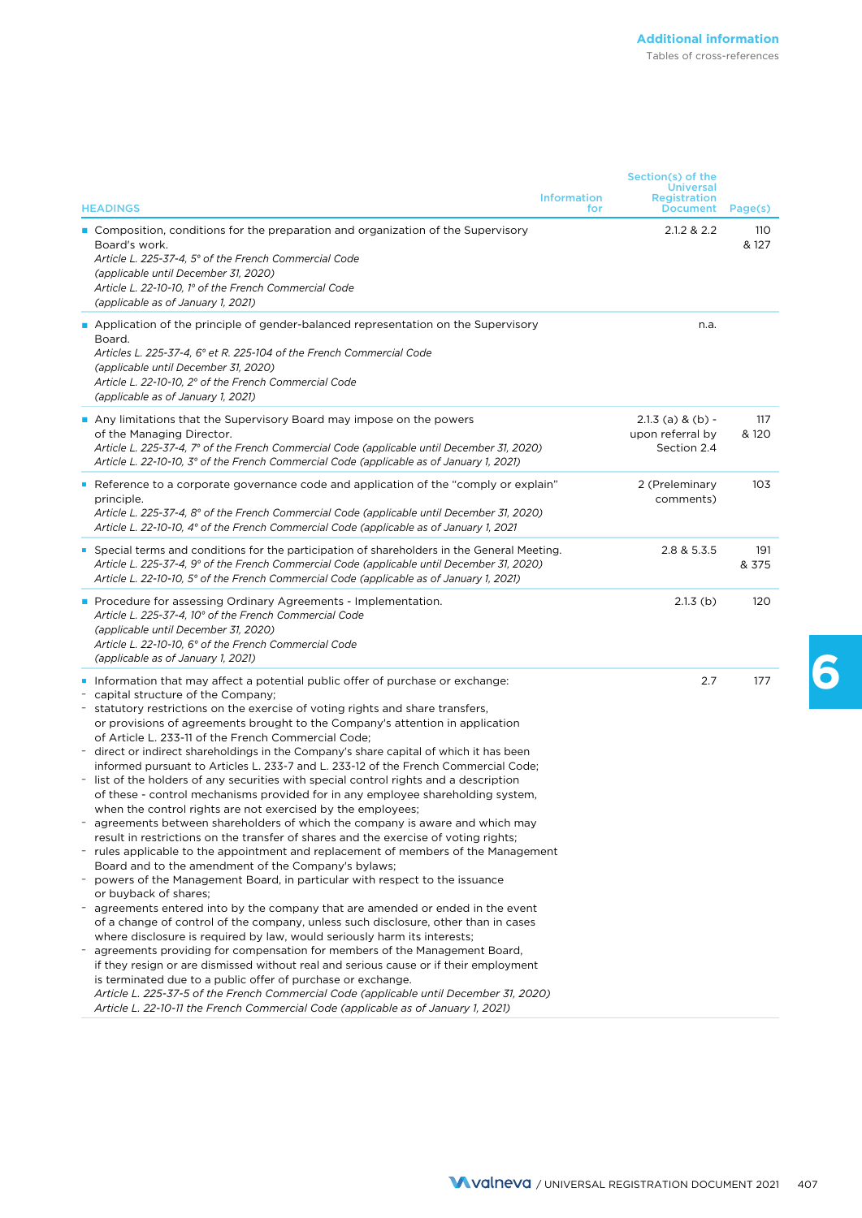|                                                                                                                                                                                                                                                                                                                                                                                                                                                                                                                                                                                                                                                                                                                                                                                                                                                                                                                                                                                                                                                                                                                                                                                                                                                                                                                                                                                                                                                                                                                                                                                                                                                                                                                                                                                                                                                                         | Section(s) of the                                          |              |
|-------------------------------------------------------------------------------------------------------------------------------------------------------------------------------------------------------------------------------------------------------------------------------------------------------------------------------------------------------------------------------------------------------------------------------------------------------------------------------------------------------------------------------------------------------------------------------------------------------------------------------------------------------------------------------------------------------------------------------------------------------------------------------------------------------------------------------------------------------------------------------------------------------------------------------------------------------------------------------------------------------------------------------------------------------------------------------------------------------------------------------------------------------------------------------------------------------------------------------------------------------------------------------------------------------------------------------------------------------------------------------------------------------------------------------------------------------------------------------------------------------------------------------------------------------------------------------------------------------------------------------------------------------------------------------------------------------------------------------------------------------------------------------------------------------------------------------------------------------------------------|------------------------------------------------------------|--------------|
| <b>Information</b><br><b>HEADINGS</b><br>for                                                                                                                                                                                                                                                                                                                                                                                                                                                                                                                                                                                                                                                                                                                                                                                                                                                                                                                                                                                                                                                                                                                                                                                                                                                                                                                                                                                                                                                                                                                                                                                                                                                                                                                                                                                                                            | <b>Universal</b><br><b>Registration</b><br><b>Document</b> | Page(s)      |
| ■ Composition, conditions for the preparation and organization of the Supervisory<br>Board's work.<br>Article L. 225-37-4, 5° of the French Commercial Code<br>(applicable until December 31, 2020)<br>Article L. 22-10-10, 1º of the French Commercial Code<br>(applicable as of January 1, 2021)                                                                                                                                                                                                                                                                                                                                                                                                                                                                                                                                                                                                                                                                                                                                                                                                                                                                                                                                                                                                                                                                                                                                                                                                                                                                                                                                                                                                                                                                                                                                                                      | 2.1.2 & 2.2                                                | 110<br>& 127 |
| Application of the principle of gender-balanced representation on the Supervisory<br>Board.<br>Articles L. 225-37-4, 6° et R. 225-104 of the French Commercial Code<br>(applicable until December 31, 2020)<br>Article L. 22-10-10, 2° of the French Commercial Code<br>(applicable as of January 1, 2021)                                                                                                                                                                                                                                                                                                                                                                                                                                                                                                                                                                                                                                                                                                                                                                                                                                                                                                                                                                                                                                                                                                                                                                                                                                                                                                                                                                                                                                                                                                                                                              | n.a.                                                       |              |
| Any limitations that the Supervisory Board may impose on the powers<br>of the Managing Director.<br>Article L. 225-37-4, 7° of the French Commercial Code (applicable until December 31, 2020)<br>Article L. 22-10-10, 3° of the French Commercial Code (applicable as of January 1, 2021)                                                                                                                                                                                                                                                                                                                                                                                                                                                                                                                                                                                                                                                                                                                                                                                                                                                                                                                                                                                                                                                                                                                                                                                                                                                                                                                                                                                                                                                                                                                                                                              | $2.1.3$ (a) & (b) -<br>upon referral by<br>Section 2.4     | 117<br>& 120 |
| Reference to a corporate governance code and application of the "comply or explain"<br>principle.<br>Article L. 225-37-4, 8° of the French Commercial Code (applicable until December 31, 2020)<br>Article L. 22-10-10, 4° of the French Commercial Code (applicable as of January 1, 2021                                                                                                                                                                                                                                                                                                                                                                                                                                                                                                                                                                                                                                                                                                                                                                                                                                                                                                                                                                                                                                                                                                                                                                                                                                                                                                                                                                                                                                                                                                                                                                              | 2 (Preleminary<br>comments)                                | 103          |
| Special terms and conditions for the participation of shareholders in the General Meeting.<br>Article L. 225-37-4, 9° of the French Commercial Code (applicable until December 31, 2020)<br>Article L. 22-10-10, 5° of the French Commercial Code (applicable as of January 1, 2021)                                                                                                                                                                                                                                                                                                                                                                                                                                                                                                                                                                                                                                                                                                                                                                                                                                                                                                                                                                                                                                                                                                                                                                                                                                                                                                                                                                                                                                                                                                                                                                                    | 2.8 & 5.3.5                                                | 191<br>& 375 |
| <b>Pediate</b> Form Procedure for assessing Ordinary Agreements - Implementation.<br>Article L. 225-37-4, 10° of the French Commercial Code<br>(applicable until December 31, 2020)<br>Article L. 22-10-10, 6° of the French Commercial Code<br>(applicable as of January 1, 2021)                                                                                                                                                                                                                                                                                                                                                                                                                                                                                                                                                                                                                                                                                                                                                                                                                                                                                                                                                                                                                                                                                                                                                                                                                                                                                                                                                                                                                                                                                                                                                                                      | $2.1.3$ (b)                                                | 120          |
| Information that may affect a potential public offer of purchase or exchange:<br>capital structure of the Company;<br>statutory restrictions on the exercise of voting rights and share transfers,<br>or provisions of agreements brought to the Company's attention in application<br>of Article L. 233-11 of the French Commercial Code;<br>direct or indirect shareholdings in the Company's share capital of which it has been<br>informed pursuant to Articles L. 233-7 and L. 233-12 of the French Commercial Code;<br>list of the holders of any securities with special control rights and a description<br>of these - control mechanisms provided for in any employee shareholding system,<br>when the control rights are not exercised by the employees;<br>agreements between shareholders of which the company is aware and which may<br>result in restrictions on the transfer of shares and the exercise of voting rights;<br>- rules applicable to the appointment and replacement of members of the Management<br>Board and to the amendment of the Company's bylaws;<br>- powers of the Management Board, in particular with respect to the issuance<br>or buyback of shares;<br>agreements entered into by the company that are amended or ended in the event<br>of a change of control of the company, unless such disclosure, other than in cases<br>where disclosure is required by law, would seriously harm its interests;<br>agreements providing for compensation for members of the Management Board,<br>if they resign or are dismissed without real and serious cause or if their employment<br>is terminated due to a public offer of purchase or exchange.<br>Article L. 225-37-5 of the French Commercial Code (applicable until December 31, 2020)<br>Article L. 22-10-11 the French Commercial Code (applicable as of January 1, 2021) | 2.7                                                        | 177          |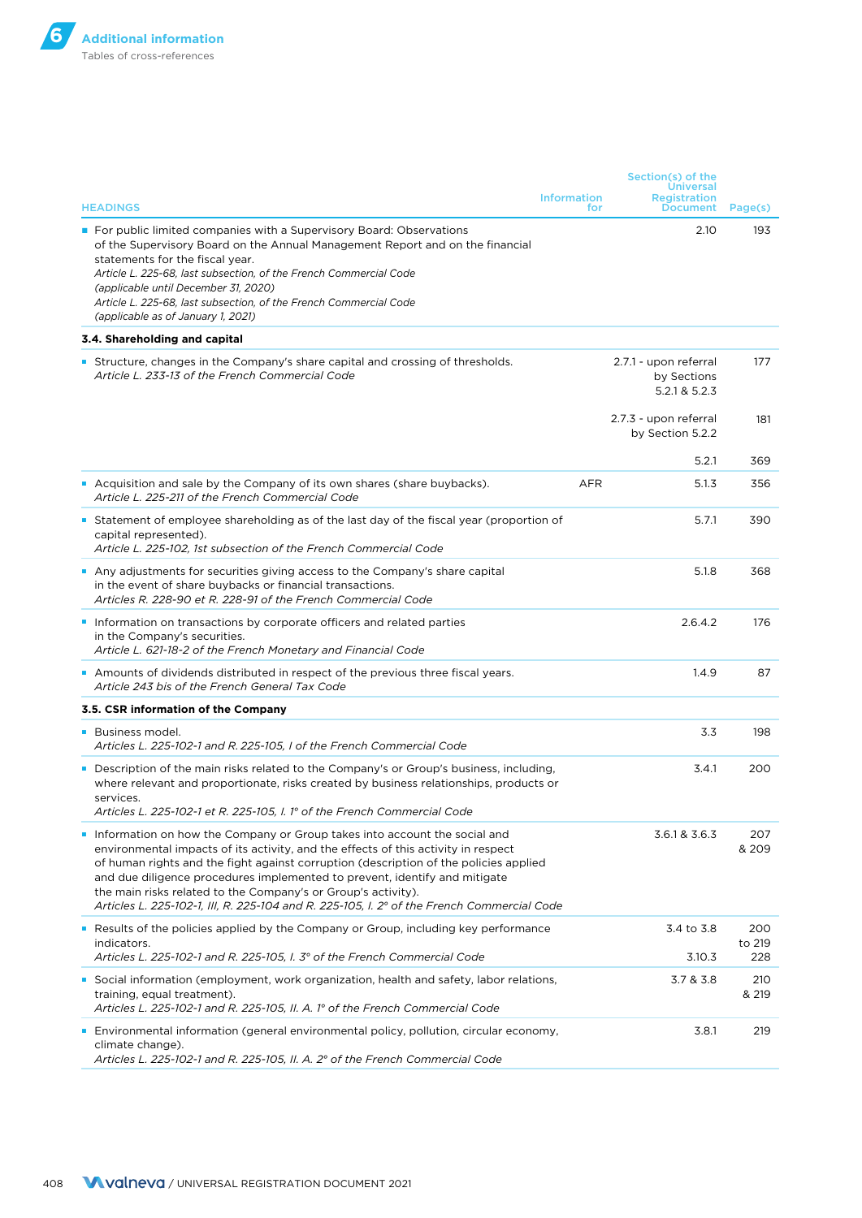|                                                                                                                                                                                                                                                                                                                                                                                                                                                                                                       |            | Section(s) of the                                          |                      |
|-------------------------------------------------------------------------------------------------------------------------------------------------------------------------------------------------------------------------------------------------------------------------------------------------------------------------------------------------------------------------------------------------------------------------------------------------------------------------------------------------------|------------|------------------------------------------------------------|----------------------|
| <b>Information</b><br><b>HEADINGS</b>                                                                                                                                                                                                                                                                                                                                                                                                                                                                 | for        | <b>Universal</b><br><b>Registration</b><br><b>Document</b> | Page(s)              |
| <b>Form</b> Por public limited companies with a Supervisory Board: Observations<br>of the Supervisory Board on the Annual Management Report and on the financial<br>statements for the fiscal year.<br>Article L. 225-68, last subsection, of the French Commercial Code<br>(applicable until December 31, 2020)<br>Article L. 225-68, last subsection, of the French Commercial Code<br>(applicable as of January 1, 2021)                                                                           |            | 2.10                                                       | 193                  |
| 3.4. Shareholding and capital                                                                                                                                                                                                                                                                                                                                                                                                                                                                         |            |                                                            |                      |
| <b>Structure, changes in the Company's share capital and crossing of thresholds.</b><br>Article L. 233-13 of the French Commercial Code                                                                                                                                                                                                                                                                                                                                                               |            | 2.7.1 - upon referral<br>by Sections<br>5.2.1 & 5.2.3      | 177                  |
|                                                                                                                                                                                                                                                                                                                                                                                                                                                                                                       |            | 2.7.3 - upon referral<br>by Section 5.2.2                  | 181                  |
|                                                                                                                                                                                                                                                                                                                                                                                                                                                                                                       |            | 5.2.1                                                      | 369                  |
| Acquisition and sale by the Company of its own shares (share buybacks).<br>Article L. 225-211 of the French Commercial Code                                                                                                                                                                                                                                                                                                                                                                           | <b>AFR</b> | 5.1.3                                                      | 356                  |
| <b>Statement of employee shareholding as of the last day of the fiscal year (proportion of</b><br>capital represented).<br>Article L. 225-102, 1st subsection of the French Commercial Code                                                                                                                                                                                                                                                                                                           |            | 5.7.1                                                      | 390                  |
| Any adjustments for securities giving access to the Company's share capital<br>in the event of share buybacks or financial transactions.<br>Articles R. 228-90 et R. 228-91 of the French Commercial Code                                                                                                                                                                                                                                                                                             |            | 5.1.8                                                      | 368                  |
| Information on transactions by corporate officers and related parties<br>in the Company's securities.<br>Article L. 621-18-2 of the French Monetary and Financial Code                                                                                                                                                                                                                                                                                                                                |            | 2.6.4.2                                                    | 176                  |
| Amounts of dividends distributed in respect of the previous three fiscal years.<br>Article 243 bis of the French General Tax Code                                                                                                                                                                                                                                                                                                                                                                     |            | 1.4.9                                                      | 87                   |
| 3.5. CSR information of the Company                                                                                                                                                                                                                                                                                                                                                                                                                                                                   |            |                                                            |                      |
| <b>Business model.</b><br>Articles L. 225-102-1 and R. 225-105, I of the French Commercial Code                                                                                                                                                                                                                                                                                                                                                                                                       |            | 3.3                                                        | 198                  |
| Description of the main risks related to the Company's or Group's business, including,<br>where relevant and proportionate, risks created by business relationships, products or<br>services.<br>Articles L. 225-102-1 et R. 225-105, I. 1° of the French Commercial Code                                                                                                                                                                                                                             |            | 3.4.1                                                      | 200                  |
| Information on how the Company or Group takes into account the social and<br>environmental impacts of its activity, and the effects of this activity in respect<br>of human rights and the fight against corruption (description of the policies applied<br>and due diligence procedures implemented to prevent, identify and mitigate<br>the main risks related to the Company's or Group's activity).<br>Articles L. 225-102-1, III, R. 225-104 and R. 225-105, I. 2° of the French Commercial Code |            | 3.6.1 & 3.6.3                                              | 207<br>& 209         |
| • Results of the policies applied by the Company or Group, including key performance<br>indicators.<br>Articles L. 225-102-1 and R. 225-105, I. 3° of the French Commercial Code                                                                                                                                                                                                                                                                                                                      |            | 3.4 to 3.8<br>3.10.3                                       | 200<br>to 219<br>228 |
| <b>Social information (employment, work organization, health and safety, labor relations,</b><br>training, equal treatment).                                                                                                                                                                                                                                                                                                                                                                          |            | 3.7 & 3.8                                                  | 210<br>& 219         |
| Articles L. 225-102-1 and R. 225-105, II. A. 1° of the French Commercial Code                                                                                                                                                                                                                                                                                                                                                                                                                         |            |                                                            |                      |
| <b>Example 1</b> Environmental information (general environmental policy, pollution, circular economy,<br>climate change).<br>Articles L. 225-102-1 and R. 225-105, II. A. 2° of the French Commercial Code                                                                                                                                                                                                                                                                                           |            | 3.8.1                                                      | 219                  |